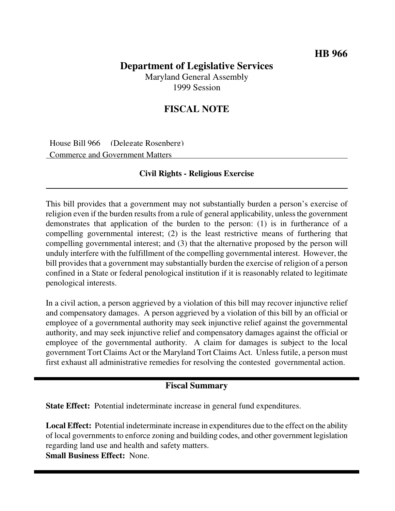## **Department of Legislative Services** Maryland General Assembly

1999 Session

# **FISCAL NOTE**

House Bill 966 (Delegate Rosenberg) Commerce and Government Matters

#### **Civil Rights - Religious Exercise**

This bill provides that a government may not substantially burden a person's exercise of religion even if the burden results from a rule of general applicability, unless the government demonstrates that application of the burden to the person: (1) is in furtherance of a compelling governmental interest; (2) is the least restrictive means of furthering that compelling governmental interest; and (3) that the alternative proposed by the person will unduly interfere with the fulfillment of the compelling governmental interest. However, the bill provides that a government may substantially burden the exercise of religion of a person confined in a State or federal penological institution if it is reasonably related to legitimate penological interests.

In a civil action, a person aggrieved by a violation of this bill may recover injunctive relief and compensatory damages. A person aggrieved by a violation of this bill by an official or employee of a governmental authority may seek injunctive relief against the governmental authority, and may seek injunctive relief and compensatory damages against the official or employee of the governmental authority. A claim for damages is subject to the local government Tort Claims Act or the Maryland Tort Claims Act. Unless futile, a person must first exhaust all administrative remedies for resolving the contested governmental action.

#### **Fiscal Summary**

**State Effect:** Potential indeterminate increase in general fund expenditures.

**Local Effect:** Potential indeterminate increase in expenditures due to the effect on the ability of local governments to enforce zoning and building codes, and other government legislation regarding land use and health and safety matters.

**Small Business Effect:** None.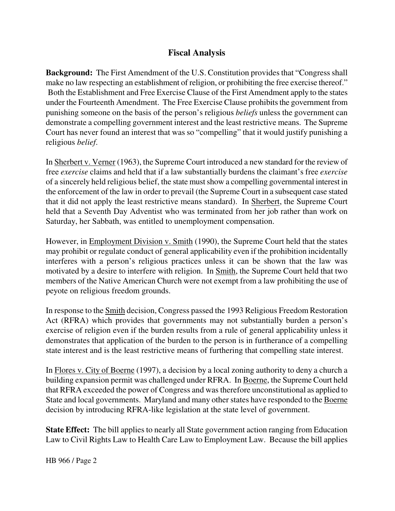### **Fiscal Analysis**

**Background:** The First Amendment of the U.S. Constitution provides that "Congress shall make no law respecting an establishment of religion, or prohibiting the free exercise thereof." Both the Establishment and Free Exercise Clause of the First Amendment apply to the states under the Fourteenth Amendment. The Free Exercise Clause prohibits the government from punishing someone on the basis of the person's religious *beliefs* unless the government can demonstrate a compelling government interest and the least restrictive means. The Supreme Court has never found an interest that was so "compelling" that it would justify punishing a religious *belief*.

In Sherbert v. Verner (1963), the Supreme Court introduced a new standard for the review of free *exercise* claims and held that if a law substantially burdens the claimant's free *exercise* of a sincerely held religious belief, the state mustshow a compelling governmental interest in the enforcement of the law in order to prevail (the Supreme Court in a subsequent case stated that it did not apply the least restrictive means standard). In Sherbert, the Supreme Court held that a Seventh Day Adventist who was terminated from her job rather than work on Saturday, her Sabbath, was entitled to unemployment compensation.

However, in Employment Division v. Smith (1990), the Supreme Court held that the states may prohibit or regulate conduct of general applicability even if the prohibition incidentally interferes with a person's religious practices unless it can be shown that the law was motivated by a desire to interfere with religion. In Smith, the Supreme Court held that two members of the Native American Church were not exempt from a law prohibiting the use of peyote on religious freedom grounds.

In response to the Smith decision, Congress passed the 1993 Religious Freedom Restoration Act (RFRA) which provides that governments may not substantially burden a person's exercise of religion even if the burden results from a rule of general applicability unless it demonstrates that application of the burden to the person is in furtherance of a compelling state interest and is the least restrictive means of furthering that compelling state interest.

In Flores v. City of Boerne (1997), a decision by a local zoning authority to deny a church a building expansion permit was challenged under RFRA. In Boerne, the Supreme Court held that RFRA exceeded the power of Congress and wastherefore unconstitutional as applied to State and local governments. Maryland and many other states have responded to the Boerne decision by introducing RFRA-like legislation at the state level of government.

**State Effect:** The bill applies to nearly all State government action ranging from Education Law to Civil Rights Law to Health Care Law to Employment Law. Because the bill applies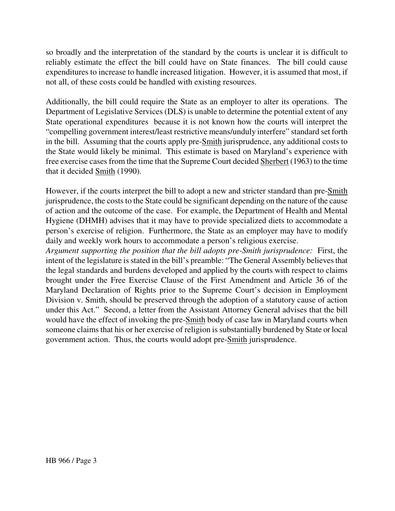so broadly and the interpretation of the standard by the courts is unclear it is difficult to reliably estimate the effect the bill could have on State finances. The bill could cause expenditures to increase to handle increased litigation. However, it is assumed that most, if not all, of these costs could be handled with existing resources.

Additionally, the bill could require the State as an employer to alter its operations. The Department of Legislative Services (DLS) is unable to determine the potential extent of any State operational expenditures because it is not known how the courts will interpret the "compelling government interest/least restrictive means/unduly interfere" standard set forth in the bill. Assuming that the courts apply pre-Smith jurisprudence, any additional costs to the State would likely be minimal. This estimate is based on Maryland's experience with free exercise cases from the time that the Supreme Court decided Sherbert (1963) to the time that it decided Smith (1990).

However, if the courts interpret the bill to adopt a new and stricter standard than pre-Smith jurisprudence, the costs to the State could be significant depending on the nature of the cause of action and the outcome of the case. For example, the Department of Health and Mental Hygiene (DHMH) advises that it may have to provide specialized diets to accommodate a person's exercise of religion. Furthermore, the State as an employer may have to modify daily and weekly work hours to accommodate a person's religious exercise.

*Argument supporting the position that the bill adopts pre-Smith jurisprudence:* First, the intent of the legislature is stated in the bill's preamble: "The General Assembly believes that the legal standards and burdens developed and applied by the courts with respect to claims brought under the Free Exercise Clause of the First Amendment and Article 36 of the Maryland Declaration of Rights prior to the Supreme Court's decision in Employment Division v. Smith, should be preserved through the adoption of a statutory cause of action under this Act." Second, a letter from the Assistant Attorney General advises that the bill would have the effect of invoking the pre-Smith body of case law in Maryland courts when someone claims that his or her exercise of religion is substantially burdened by State or local government action. Thus, the courts would adopt pre-Smith jurisprudence.